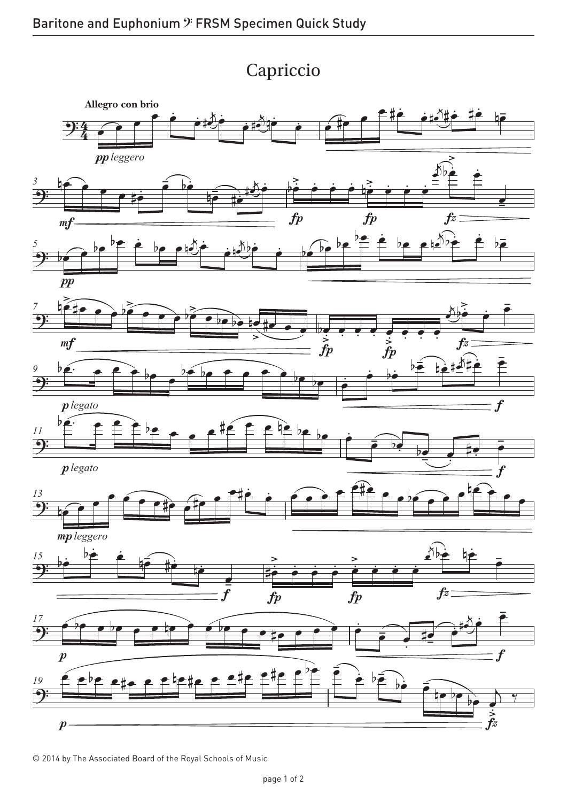## Capriccio Capriccio



© 2014 by The Associated Board of the Royal Schools of Music